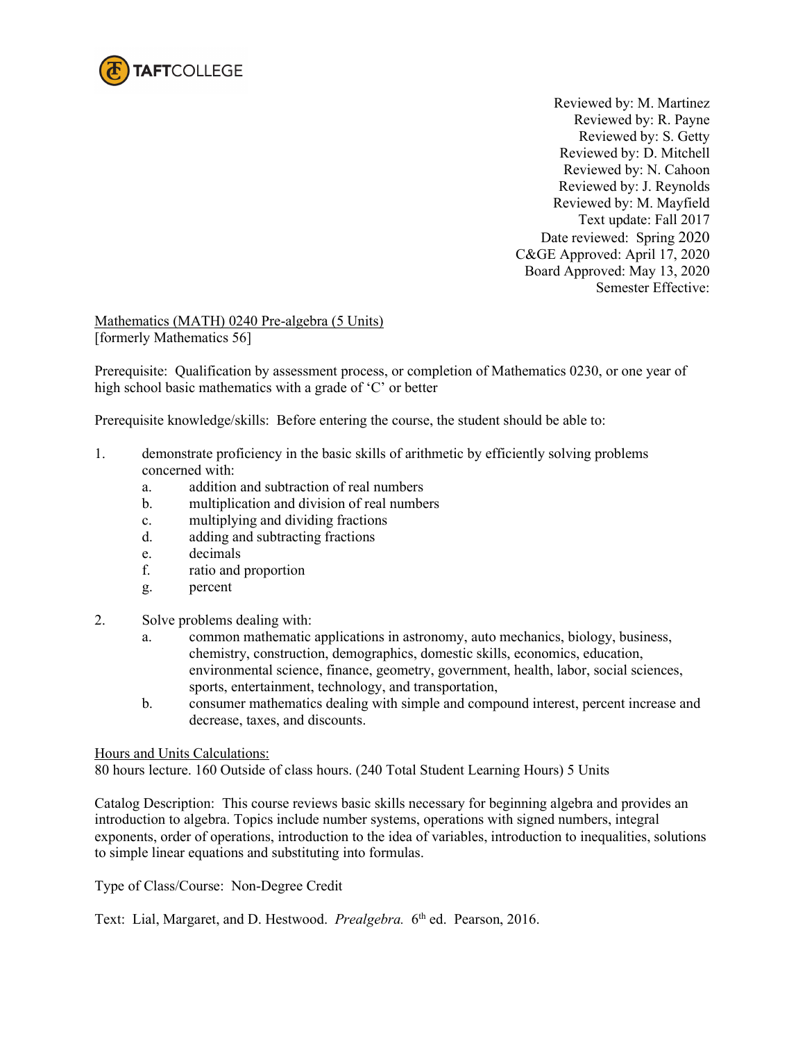

Reviewed by: M. Martinez Reviewed by: R. Payne Reviewed by: S. Getty Reviewed by: D. Mitchell Reviewed by: N. Cahoon Reviewed by: J. Reynolds Reviewed by: M. Mayfield Text update: Fall 2017 Date reviewed: Spring 2020 C&GE Approved: April 17, 2020 Board Approved: May 13, 2020 Semester Effective:

Mathematics (MATH) 0240 Pre-algebra (5 Units) [formerly Mathematics 56]

Prerequisite: Qualification by assessment process, or completion of Mathematics 0230, or one year of high school basic mathematics with a grade of 'C' or better

Prerequisite knowledge/skills: Before entering the course, the student should be able to:

- 1. demonstrate proficiency in the basic skills of arithmetic by efficiently solving problems concerned with:
	- a. addition and subtraction of real numbers
	- b. multiplication and division of real numbers
	- c. multiplying and dividing fractions
	- d. adding and subtracting fractions
	- e. decimals
	- f. ratio and proportion
	- g. percent
- 2. Solve problems dealing with:
	- a. common mathematic applications in astronomy, auto mechanics, biology, business, chemistry, construction, demographics, domestic skills, economics, education, environmental science, finance, geometry, government, health, labor, social sciences, sports, entertainment, technology, and transportation,
	- b. consumer mathematics dealing with simple and compound interest, percent increase and decrease, taxes, and discounts.

#### Hours and Units Calculations:

80 hours lecture. 160 Outside of class hours. (240 Total Student Learning Hours) 5 Units

Catalog Description: This course reviews basic skills necessary for beginning algebra and provides an introduction to algebra. Topics include number systems, operations with signed numbers, integral exponents, order of operations, introduction to the idea of variables, introduction to inequalities, solutions to simple linear equations and substituting into formulas.

Type of Class/Course: Non-Degree Credit

Text: Lial, Margaret, and D. Hestwood. *Prealgebra.* 6<sup>th</sup> ed. Pearson, 2016.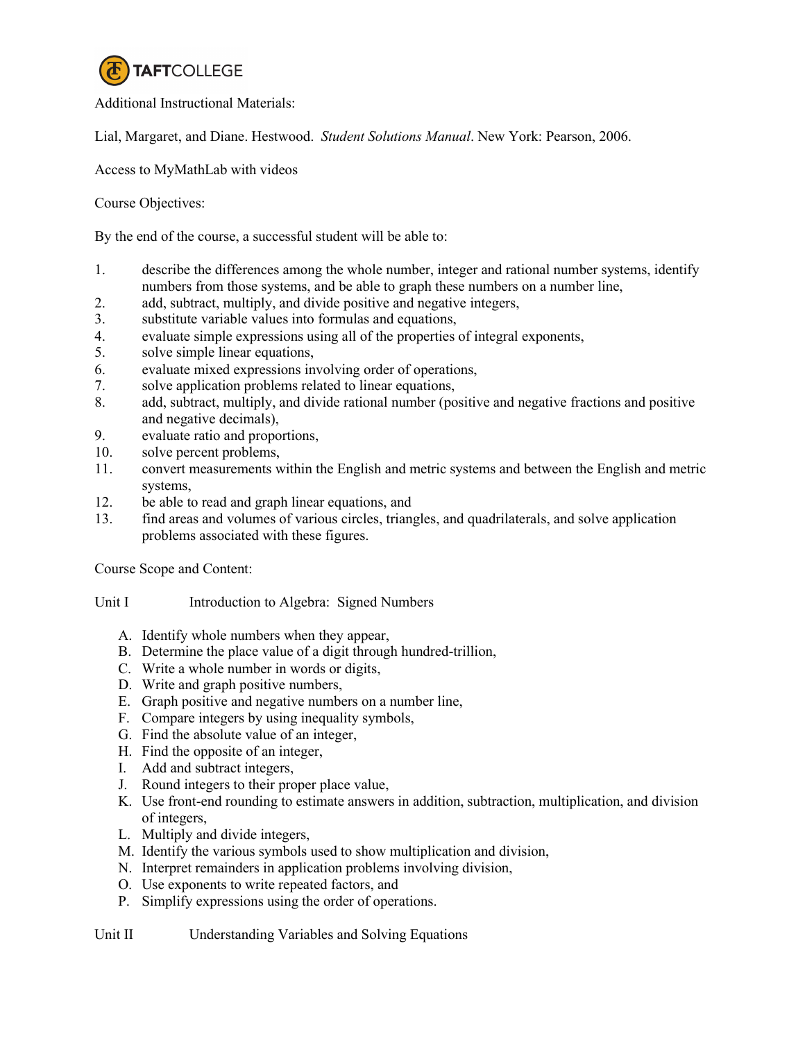

Additional Instructional Materials:

Lial, Margaret, and Diane. Hestwood. *Student Solutions Manual*. New York: Pearson, 2006.

Access to MyMathLab with videos

Course Objectives:

By the end of the course, a successful student will be able to:

- 1. describe the differences among the whole number, integer and rational number systems, identify numbers from those systems, and be able to graph these numbers on a number line,
- 2. add, subtract, multiply, and divide positive and negative integers,
- 3. substitute variable values into formulas and equations,
- 4. evaluate simple expressions using all of the properties of integral exponents,
- 5. solve simple linear equations,
- 6. evaluate mixed expressions involving order of operations,
- 7. solve application problems related to linear equations,
- 8. add, subtract, multiply, and divide rational number (positive and negative fractions and positive and negative decimals),
- 9. evaluate ratio and proportions,
- 10. solve percent problems,
- 11. convert measurements within the English and metric systems and between the English and metric systems,
- 12. be able to read and graph linear equations, and
- 13. find areas and volumes of various circles, triangles, and quadrilaterals, and solve application problems associated with these figures.

Course Scope and Content:

- Unit I Introduction to Algebra: Signed Numbers
	- A. Identify whole numbers when they appear,
	- B. Determine the place value of a digit through hundred-trillion,
	- C. Write a whole number in words or digits,
	- D. Write and graph positive numbers,
	- E. Graph positive and negative numbers on a number line,
	- F. Compare integers by using inequality symbols,
	- G. Find the absolute value of an integer,
	- H. Find the opposite of an integer,
	- I. Add and subtract integers,
	- J. Round integers to their proper place value,
	- K. Use front-end rounding to estimate answers in addition, subtraction, multiplication, and division of integers,
	- L. Multiply and divide integers,
	- M. Identify the various symbols used to show multiplication and division,
	- N. Interpret remainders in application problems involving division,
	- O. Use exponents to write repeated factors, and
	- P. Simplify expressions using the order of operations.

Unit II Understanding Variables and Solving Equations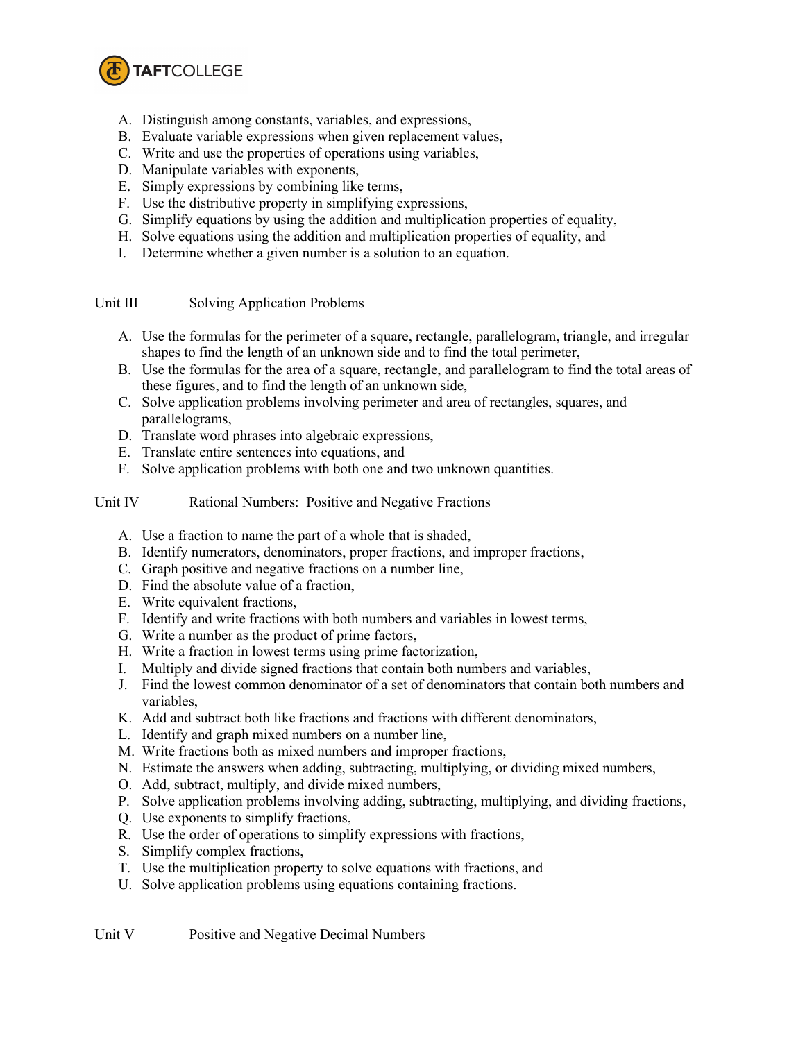

- A. Distinguish among constants, variables, and expressions,
- B. Evaluate variable expressions when given replacement values,
- C. Write and use the properties of operations using variables,
- D. Manipulate variables with exponents,
- E. Simply expressions by combining like terms,
- F. Use the distributive property in simplifying expressions,
- G. Simplify equations by using the addition and multiplication properties of equality,
- H. Solve equations using the addition and multiplication properties of equality, and
- I. Determine whether a given number is a solution to an equation.

Unit III Solving Application Problems

- A. Use the formulas for the perimeter of a square, rectangle, parallelogram, triangle, and irregular shapes to find the length of an unknown side and to find the total perimeter,
- B. Use the formulas for the area of a square, rectangle, and parallelogram to find the total areas of these figures, and to find the length of an unknown side,
- C. Solve application problems involving perimeter and area of rectangles, squares, and parallelograms,
- D. Translate word phrases into algebraic expressions,
- E. Translate entire sentences into equations, and
- F. Solve application problems with both one and two unknown quantities.
- Unit IV Rational Numbers: Positive and Negative Fractions
	- A. Use a fraction to name the part of a whole that is shaded,
	- B. Identify numerators, denominators, proper fractions, and improper fractions,
	- C. Graph positive and negative fractions on a number line,
	- D. Find the absolute value of a fraction,
	- E. Write equivalent fractions,
	- F. Identify and write fractions with both numbers and variables in lowest terms,
	- G. Write a number as the product of prime factors,
	- H. Write a fraction in lowest terms using prime factorization,
	- I. Multiply and divide signed fractions that contain both numbers and variables,
	- J. Find the lowest common denominator of a set of denominators that contain both numbers and variables,
	- K. Add and subtract both like fractions and fractions with different denominators,
	- L. Identify and graph mixed numbers on a number line,
	- M. Write fractions both as mixed numbers and improper fractions,
	- N. Estimate the answers when adding, subtracting, multiplying, or dividing mixed numbers,
	- O. Add, subtract, multiply, and divide mixed numbers,
	- P. Solve application problems involving adding, subtracting, multiplying, and dividing fractions,
	- Q. Use exponents to simplify fractions,
	- R. Use the order of operations to simplify expressions with fractions,
	- S. Simplify complex fractions,
	- T. Use the multiplication property to solve equations with fractions, and
	- U. Solve application problems using equations containing fractions.

Unit V Positive and Negative Decimal Numbers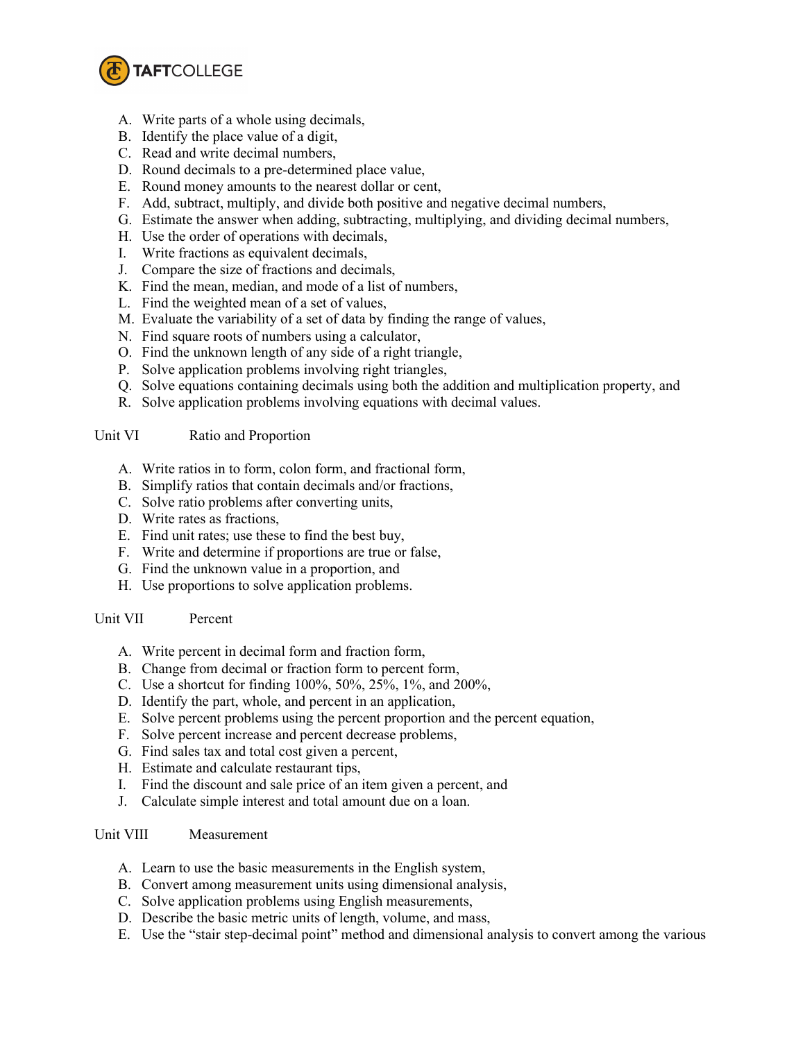

- A. Write parts of a whole using decimals,
- B. Identify the place value of a digit,
- C. Read and write decimal numbers,
- D. Round decimals to a pre-determined place value,
- E. Round money amounts to the nearest dollar or cent,
- F. Add, subtract, multiply, and divide both positive and negative decimal numbers,
- G. Estimate the answer when adding, subtracting, multiplying, and dividing decimal numbers,
- H. Use the order of operations with decimals,
- I. Write fractions as equivalent decimals,
- J. Compare the size of fractions and decimals,
- K. Find the mean, median, and mode of a list of numbers,
- L. Find the weighted mean of a set of values,
- M. Evaluate the variability of a set of data by finding the range of values,
- N. Find square roots of numbers using a calculator,
- O. Find the unknown length of any side of a right triangle,
- P. Solve application problems involving right triangles,
- Q. Solve equations containing decimals using both the addition and multiplication property, and
- R. Solve application problems involving equations with decimal values.

Unit VI Ratio and Proportion

- A. Write ratios in to form, colon form, and fractional form,
- B. Simplify ratios that contain decimals and/or fractions,
- C. Solve ratio problems after converting units,
- D. Write rates as fractions,
- E. Find unit rates; use these to find the best buy,
- F. Write and determine if proportions are true or false,
- G. Find the unknown value in a proportion, and
- H. Use proportions to solve application problems.

# Unit VII Percent

- A. Write percent in decimal form and fraction form,
- B. Change from decimal or fraction form to percent form,
- C. Use a shortcut for finding 100%, 50%, 25%, 1%, and 200%,
- D. Identify the part, whole, and percent in an application,
- E. Solve percent problems using the percent proportion and the percent equation,
- F. Solve percent increase and percent decrease problems,
- G. Find sales tax and total cost given a percent,
- H. Estimate and calculate restaurant tips,
- I. Find the discount and sale price of an item given a percent, and
- J. Calculate simple interest and total amount due on a loan.

# Unit VIII Measurement

- A. Learn to use the basic measurements in the English system,
- B. Convert among measurement units using dimensional analysis,
- C. Solve application problems using English measurements,
- D. Describe the basic metric units of length, volume, and mass,
- E. Use the "stair step-decimal point" method and dimensional analysis to convert among the various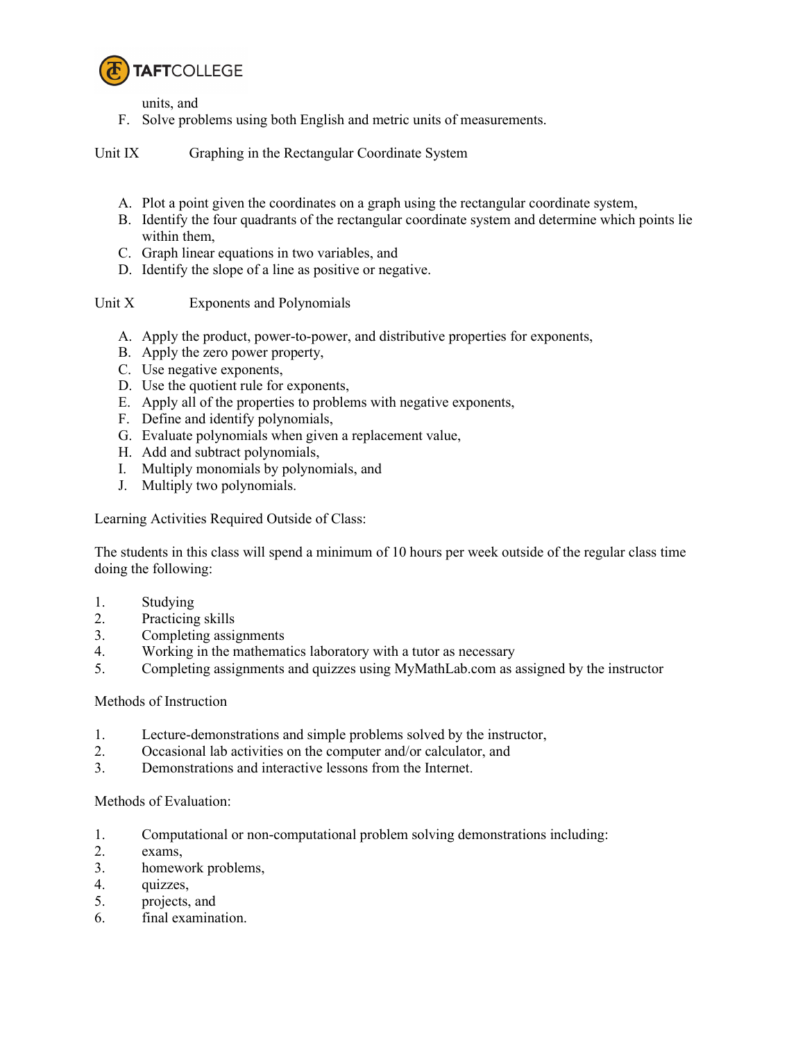

units, and

F. Solve problems using both English and metric units of measurements.

Unit IX Graphing in the Rectangular Coordinate System

- A. Plot a point given the coordinates on a graph using the rectangular coordinate system,
- B. Identify the four quadrants of the rectangular coordinate system and determine which points lie within them,
- C. Graph linear equations in two variables, and
- D. Identify the slope of a line as positive or negative.

# Unit X Exponents and Polynomials

- A. Apply the product, power-to-power, and distributive properties for exponents,
- B. Apply the zero power property,
- C. Use negative exponents,
- D. Use the quotient rule for exponents,
- E. Apply all of the properties to problems with negative exponents,
- F. Define and identify polynomials,
- G. Evaluate polynomials when given a replacement value,
- H. Add and subtract polynomials,
- I. Multiply monomials by polynomials, and
- J. Multiply two polynomials.

Learning Activities Required Outside of Class:

The students in this class will spend a minimum of 10 hours per week outside of the regular class time doing the following:

- 1. Studying
- 2. Practicing skills
- 3. Completing assignments
- 4. Working in the mathematics laboratory with a tutor as necessary
- 5. Completing assignments and quizzes using MyMathLab.com as assigned by the instructor

# Methods of Instruction

- 1. Lecture-demonstrations and simple problems solved by the instructor,
- 2. Occasional lab activities on the computer and/or calculator, and
- 3. Demonstrations and interactive lessons from the Internet.

# Methods of Evaluation:

- 1. Computational or non-computational problem solving demonstrations including:
- 2. exams,
- 3. homework problems,
- 4. quizzes,
- 5. projects, and
- 6. final examination.